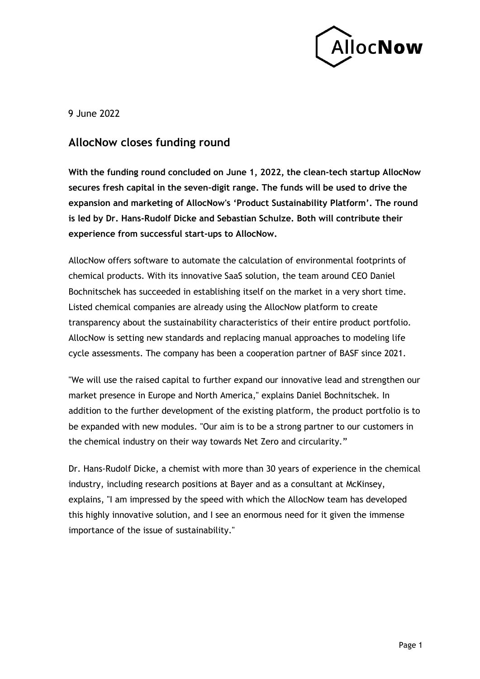

9 June 2022

## **AllocNow closes funding round**

**With the funding round concluded on June 1, 2022, the clean-tech startup AllocNow secures fresh capital in the seven-digit range. The funds will be used to drive the expansion and marketing of AllocNow's 'Product Sustainability Platform'. The round is led by Dr. Hans-Rudolf Dicke and Sebastian Schulze. Both will contribute their experience from successful start-ups to AllocNow.**

AllocNow offers software to automate the calculation of environmental footprints of chemical products. With its innovative SaaS solution, the team around CEO Daniel Bochnitschek has succeeded in establishing itself on the market in a very short time. Listed chemical companies are already using the AllocNow platform to create transparency about the sustainability characteristics of their entire product portfolio. AllocNow is setting new standards and replacing manual approaches to modeling life cycle assessments. The company has been a cooperation partner of BASF since 2021.

"We will use the raised capital to further expand our innovative lead and strengthen our market presence in Europe and North America," explains Daniel Bochnitschek. In addition to the further development of the existing platform, the product portfolio is to be expanded with new modules. "Our aim is to be a strong partner to our customers in the chemical industry on their way towards Net Zero and circularity."

Dr. Hans-Rudolf Dicke, a chemist with more than 30 years of experience in the chemical industry, including research positions at Bayer and as a consultant at McKinsey, explains, "I am impressed by the speed with which the AllocNow team has developed this highly innovative solution, and I see an enormous need for it given the immense importance of the issue of sustainability."